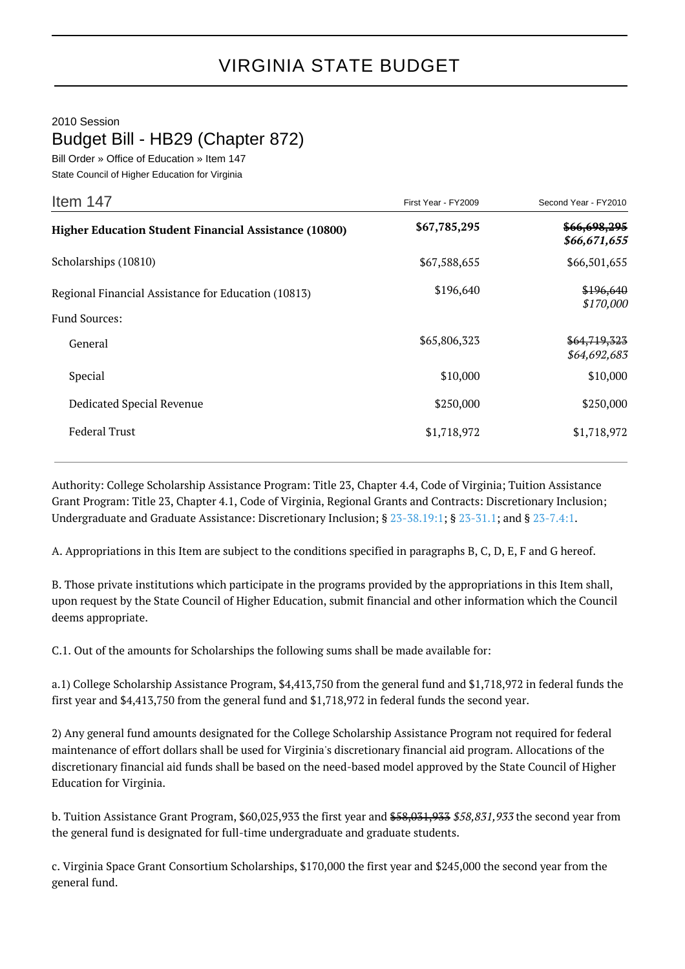## VIRGINIA STATE BUDGET

## 2010 Session

## Budget Bill - HB29 (Chapter 872)

Bill Order » Office of Education » Item 147

| State Council of Higher Education for Virginia |  |  |
|------------------------------------------------|--|--|
|                                                |  |  |

| Item 147                                                                    | First Year - FY2009 | Second Year - FY2010         |
|-----------------------------------------------------------------------------|---------------------|------------------------------|
| <b>Higher Education Student Financial Assistance (10800)</b>                | \$67,785,295        | \$66,698,295<br>\$66,671,655 |
| Scholarships (10810)                                                        | \$67,588,655        | \$66,501,655                 |
| Regional Financial Assistance for Education (10813)<br><b>Fund Sources:</b> | \$196,640           | \$196,640<br>\$170,000       |
| General                                                                     | \$65,806,323        | \$64,719,323<br>\$64,692,683 |
| Special                                                                     | \$10,000            | \$10,000                     |
| Dedicated Special Revenue                                                   | \$250,000           | \$250,000                    |
| <b>Federal Trust</b>                                                        | \$1,718,972         | \$1,718,972                  |

Authority: College Scholarship Assistance Program: Title 23, Chapter 4.4, Code of Virginia; Tuition Assistance Grant Program: Title 23, Chapter 4.1, Code of Virginia, Regional Grants and Contracts: Discretionary Inclusion; Undergraduate and Graduate Assistance: Discretionary Inclusion; § [23-38.19:1](http://law.lis.virginia.gov/vacode/23-38.19:1/); § [23-31.1](http://law.lis.virginia.gov/vacode/23-31.1/); and § [23-7.4:1](http://law.lis.virginia.gov/vacode/23-7.4:1/).

A. Appropriations in this Item are subject to the conditions specified in paragraphs B, C, D, E, F and G hereof.

B. Those private institutions which participate in the programs provided by the appropriations in this Item shall, upon request by the State Council of Higher Education, submit financial and other information which the Council deems appropriate.

C.1. Out of the amounts for Scholarships the following sums shall be made available for:

a.1) College Scholarship Assistance Program, \$4,413,750 from the general fund and \$1,718,972 in federal funds the first year and \$4,413,750 from the general fund and \$1,718,972 in federal funds the second year.

2) Any general fund amounts designated for the College Scholarship Assistance Program not required for federal maintenance of effort dollars shall be used for Virginia's discretionary financial aid program. Allocations of the discretionary financial aid funds shall be based on the need-based model approved by the State Council of Higher Education for Virginia.

b. Tuition Assistance Grant Program, \$60,025,933 the first year and \$58,031,933 \$58,831,933 the second year from the general fund is designated for full-time undergraduate and graduate students.

c. Virginia Space Grant Consortium Scholarships, \$170,000 the first year and \$245,000 the second year from the general fund.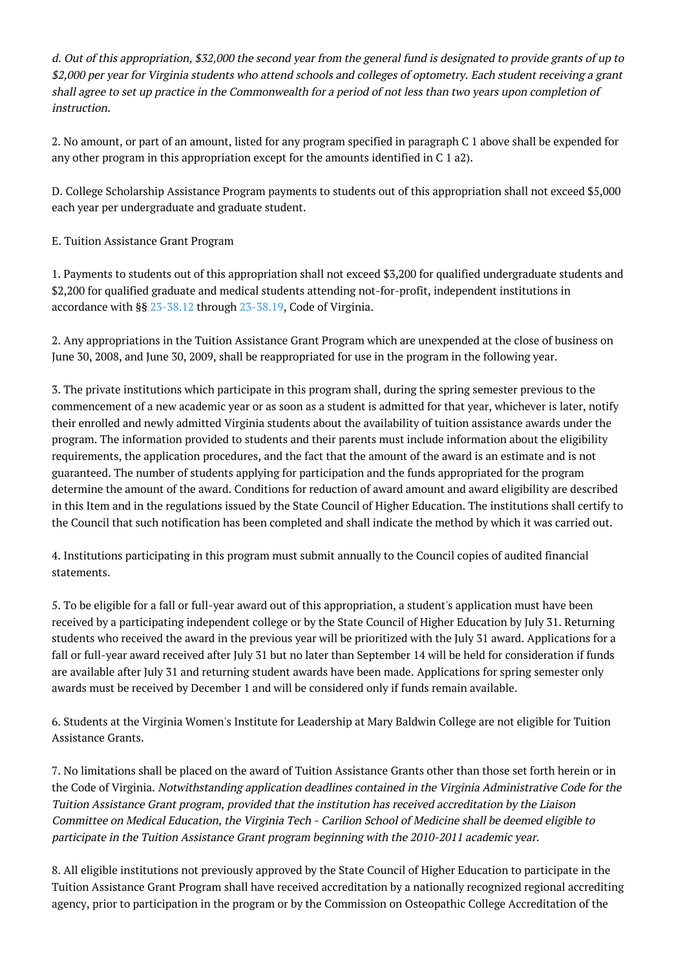d. Out of this appropriation, \$32,000 the second year from the general fund is designated to provide grants of up to \$2,000 per year for Virginia students who attend schools and colleges of optometry. Each student receiving a grant shall agree to set up practice in the Commonwealth for a period of not less than two years upon completion of instruction.

2. No amount, or part of an amount, listed for any program specified in paragraph C 1 above shall be expended for any other program in this appropriation except for the amounts identified in C 1 a2).

D. College Scholarship Assistance Program payments to students out of this appropriation shall not exceed \$5,000 each year per undergraduate and graduate student.

E. Tuition Assistance Grant Program

1. Payments to students out of this appropriation shall not exceed \$3,200 for qualified undergraduate students and \$2,200 for qualified graduate and medical students attending not-for-profit, independent institutions in accordance with §§ [23-38.12](http://law.lis.virginia.gov/vacode/23-38.12/) through [23-38.19](http://law.lis.virginia.gov/vacode/23-38.19/), Code of Virginia.

2. Any appropriations in the Tuition Assistance Grant Program which are unexpended at the close of business on June 30, 2008, and June 30, 2009, shall be reappropriated for use in the program in the following year.

3. The private institutions which participate in this program shall, during the spring semester previous to the commencement of a new academic year or as soon as a student is admitted for that year, whichever is later, notify their enrolled and newly admitted Virginia students about the availability of tuition assistance awards under the program. The information provided to students and their parents must include information about the eligibility requirements, the application procedures, and the fact that the amount of the award is an estimate and is not guaranteed. The number of students applying for participation and the funds appropriated for the program determine the amount of the award. Conditions for reduction of award amount and award eligibility are described in this Item and in the regulations issued by the State Council of Higher Education. The institutions shall certify to the Council that such notification has been completed and shall indicate the method by which it was carried out.

4. Institutions participating in this program must submit annually to the Council copies of audited financial statements.

5. To be eligible for a fall or full-year award out of this appropriation, a student's application must have been received by a participating independent college or by the State Council of Higher Education by July 31. Returning students who received the award in the previous year will be prioritized with the July 31 award. Applications for a fall or full-year award received after July 31 but no later than September 14 will be held for consideration if funds are available after July 31 and returning student awards have been made. Applications for spring semester only awards must be received by December 1 and will be considered only if funds remain available.

6. Students at the Virginia Women's Institute for Leadership at Mary Baldwin College are not eligible for Tuition Assistance Grants.

7. No limitations shall be placed on the award of Tuition Assistance Grants other than those set forth herein or in the Code of Virginia. Notwithstanding application deadlines contained in the Virginia Administrative Code for the Tuition Assistance Grant program, provided that the institution has received accreditation by the Liaison Committee on Medical Education, the Virginia Tech - Carilion School of Medicine shall be deemed eligible to participate in the Tuition Assistance Grant program beginning with the 2010-2011 academic year.

8. All eligible institutions not previously approved by the State Council of Higher Education to participate in the Tuition Assistance Grant Program shall have received accreditation by a nationally recognized regional accrediting agency, prior to participation in the program or by the Commission on Osteopathic College Accreditation of the